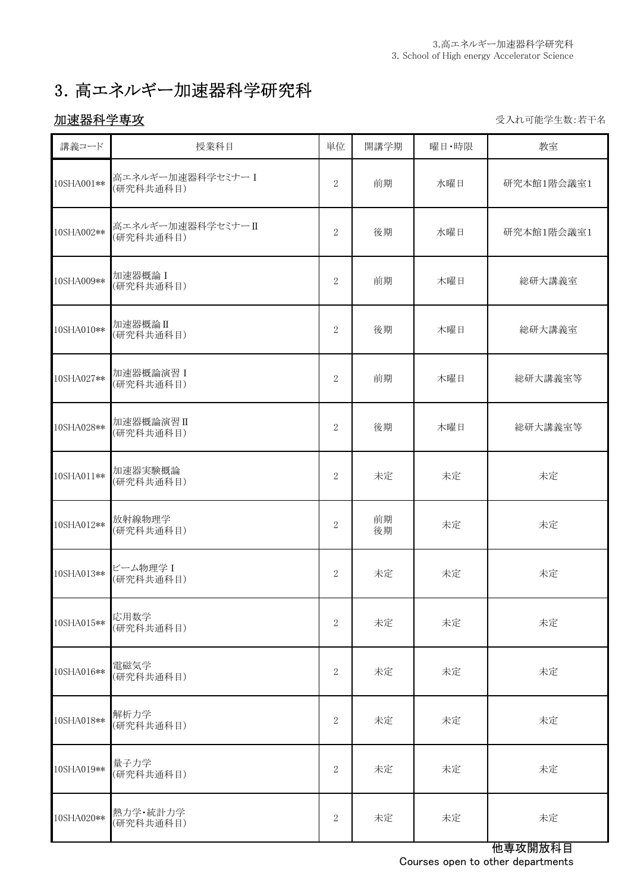# 3.高エネルギー加速器科学研究科

# 加速器科学専攻 きょうきょう しょうしょう しょうしょう かいじゅつ かいじゅつ かいじゅつ かいじゅつ かいじょう

| 講義コード      | 授業科目                          | 単位             | 開講学期     | 曜日·時限 | 教室         |
|------------|-------------------------------|----------------|----------|-------|------------|
| 10SHA001** | 高エネルギー加速器科学セミナーI<br>(研究科共通科目) | $\overline{2}$ | 前期       | 水曜日   | 研究本館1階会議室1 |
| 10SHA002** | 高エネルギー加速器科学セミナーⅡ<br>(研究科共通科目) | $\overline{2}$ | 後期       | 水曜日   | 研究本館1階会議室1 |
| 10SHA009** | 加速器概論 I<br>(研究科共通科目)          | $\overline{2}$ | 前期       | 木曜日   | 総研大講義室     |
| 10SHA010** | 加速器概論II<br>(研究科共通科目)          | 2              | 後期       | 木曜日   | 総研大講義室     |
| 10SHA027** | 加速器概論演習 I<br>(研究科共通科目)        | 2              | 前期       | 木曜日   | 総研大講義室等    |
| 10SHA028** | 加速器概論演習 II<br>(研究科共通科目)       | 2              | 後期       | 木曜日   | 総研大講義室等    |
| 10SHA011** | 加速器実験概論<br>(研究科共通科目)          | 2              | 未定       | 未定    | 未定         |
| 10SHA012** | 放射線物理学<br>(研究科共通科目)           | $\overline{2}$ | 前期<br>後期 | 未定    | 未定         |
| 10SHA013** | ビーム物理学 I<br>(研究科共通科目)         | 2              | 未定       | 未定    | 未定         |
| 10SHA015** | 応用数学<br>(研究科共通科目)             | 2              | 未定       | 未定    | 未定         |
| 10SHA016** | 電磁気学<br>(研究科共通科目)             | $\sqrt{2}$     | 未定       | 未定    | 未定         |
| 10SHA018** | 解析力学<br>(研究科共通科目)             | 2              | 未定       | 未定    | 未定         |
| 10SHA019** | 量子力学<br>(研究科共通科目)             | $\mathbf{2}$   | 未定       | 未定    | 未定         |
| 10SHA020** | 熱力学·統計力学<br>(研究科共通科目)         | $\sqrt{2}$     | 未定       | 未定    | 未定         |

他専攻開放科目 Courses open to other departments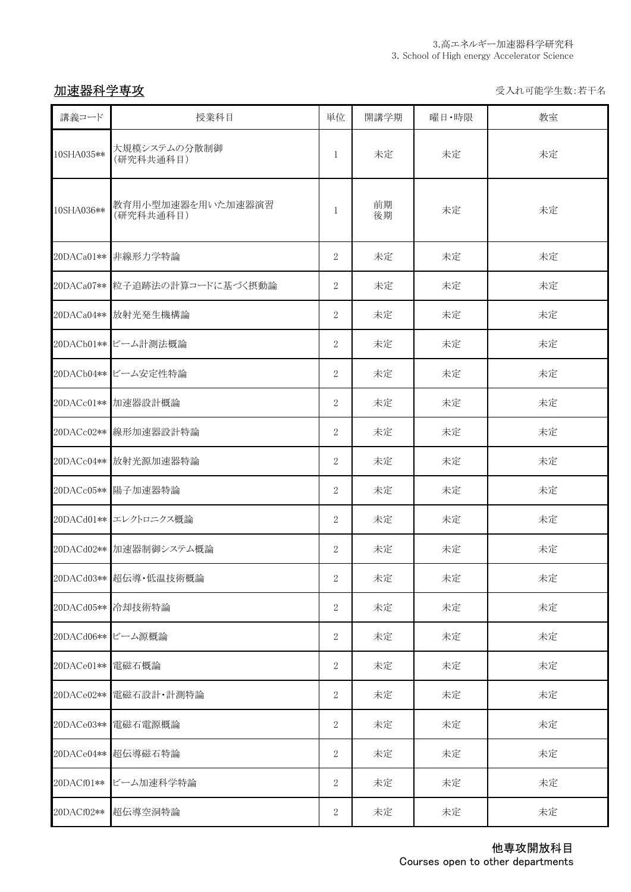カンチン <mark>加速器科学専攻</mark> マインスタイム しょうしょう しょうしょう しょうしょう しょうしょう かいりょう ライル可能学生数:若干名

| 講義コード      | 授業科目                           | 単位             | 開講学期     | 曜日·時限 | 教室 |
|------------|--------------------------------|----------------|----------|-------|----|
| 10SHA035** | 大規模システムの分散制御<br>(研究科共通科目)      | $\mathbf{1}$   | 未定       | 未定    | 未定 |
| 10SHA036** | 教育用小型加速器を用いた加速器演習<br>(研究科共通科目) | 1              | 前期<br>後期 | 未定    | 未定 |
| 20DACa01** | 非線形力学特論                        | $\overline{2}$ | 未定       | 未定    | 未定 |
|            | 20DACa07** 粒子追跡法の計算コードに基づく摂動論  | $\overline{2}$ | 未定       | 未定    | 未定 |
| 20DACa04** | 放射光発生機構論                       | $\overline{2}$ | 未定       | 未定    | 未定 |
|            | 20DACb01** ビーム計測法概論            | $\overline{2}$ | 未定       | 未定    | 未定 |
|            | 20DACb04** ビーム安定性特論            | $\overline{2}$ | 未定       | 未定    | 未定 |
|            | 20DACc01** 加速器設計概論             | $\overline{2}$ | 未定       | 未定    | 未定 |
|            | 20DACc02** 線形加速器設計特論           | $\overline{2}$ | 未定       | 未定    | 未定 |
| 20DACc04** | 放射光源加速器特論                      | $\overline{2}$ | 未定       | 未定    | 未定 |
| 20DACc05** | 陽子加速器特論                        | $\overline{2}$ | 未定       | 未定    | 未定 |
|            | 20DACd01** エレクトロニクス概論          | $\overline{2}$ | 未定       | 未定    | 未定 |
|            | 20DACd02** 加速器制御システム概論         | $\overline{2}$ | 未定       | 未定    | 未定 |
|            | 20DACd03** 超伝導·低温技術概論          | $\mathbf{2}$   | 未定       | 未定    | 未定 |
|            | 20DACd05** 冷却技術特論              | 2              | 未定       | 未定    | 未定 |
|            | 20DACd06** ビーム源概論              | $\sqrt{2}$     | 未定       | 未定    | 未定 |
| 20DACe01** | 電磁石概論                          | 2              | 未定       | 未定    | 未定 |
| 20DACe02** | 電磁石設計·計測特論                     | 2              | 未定       | 未定    | 未定 |
| 20DACe03** | 電磁石電源概論                        | $\sqrt{2}$     | 未定       | 未定    | 未定 |
| 20DACe04** | 超伝導磁石特論                        | 2              | 未定       | 未定    | 未定 |
| 20DACf01** | ビーム加速科学特論                      | $\sqrt{2}$     | 未定       | 未定    | 未定 |
| 20DACf02** | 超伝導空洞特論                        | 2              | 未定       | 未定    | 未定 |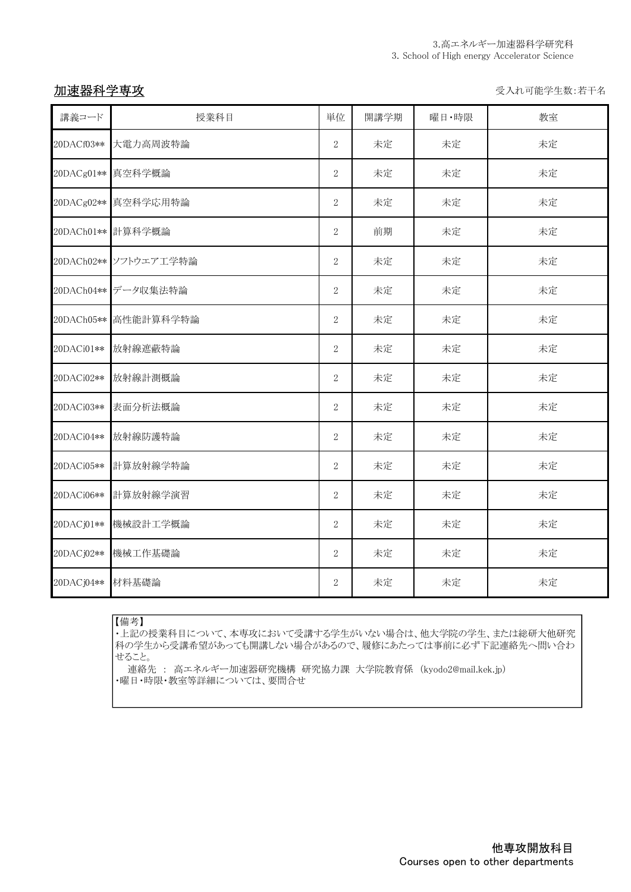加速器科学専攻 マイン・コン アンチャン しゅうしゃ かいしゃ かいしゅう かいしゅう ライン・エンジン 受入れ可能学生数:若干名

| 講義コード      | 授業科目                  | 単位             | 開講学期 | 曜日·時限 | 教室 |
|------------|-----------------------|----------------|------|-------|----|
| 20DACf03** | 大電力高周波特論              | $\sqrt{2}$     | 未定   | 未定    | 未定 |
| 20DACg01** | 真空科学概論                | $\sqrt{2}$     | 未定   | 未定    | 未定 |
| 20DACg02** | 真空科学応用特論              | $\overline{2}$ | 未定   | 未定    | 未定 |
| 20DACh01** | 計算科学概論                | $\sqrt{2}$     | 前期   | 未定    | 未定 |
|            | 20DACh02** ソフトウエア工学特論 | $\sqrt{2}$     | 未定   | 未定    | 未定 |
| 20DACh04** | データ収集法特論              | $\sqrt{2}$     | 未定   | 未定    | 未定 |
| 20DACh05** | 高性能計算科学特論             | $\sqrt{2}$     | 未定   | 未定    | 未定 |
| 20DACi01** | 放射線遮蔽特論               | $\sqrt{2}$     | 未定   | 未定    | 未定 |
| 20DACi02** | 放射線計測概論               | $\sqrt{2}$     | 未定   | 未定    | 未定 |
| 20DACi03** | 表面分析法概論               | $\sqrt{2}$     | 未定   | 未定    | 未定 |
| 20DACi04** | 放射線防護特論               | $\overline{2}$ | 未定   | 未定    | 未定 |
| 20DACi05** | 計算放射線学特論              | $\overline{2}$ | 未定   | 未定    | 未定 |
| 20DACi06** | 計算放射線学演習              | 2              | 未定   | 未定    | 未定 |
| 20DACj01** | 機械設計工学概論              | $\sqrt{2}$     | 未定   | 未定    | 未定 |
| 20DACj02** | 機械工作基礎論               | $\,2$          | 未定   | 未定    | 未定 |
| 20DACj04** | 材料基礎論                 | 2              | 未定   | 未定    | 未定 |

### 【備考】

・上記の授業科目について、本専攻において受講する学生がいない場合は、他大学院の学生、または総研大他研究 科の学生から受講希望があっても開講しない場合があるので、履修にあたっては事前に必ず下記連絡先へ問い合わ せること。

連絡先 : 高エネルギー加速器研究機構 研究協力課 大学院教育係 (kyodo2@mail.kek.jp) ・曜日・時限・教室等詳細については、要問合せ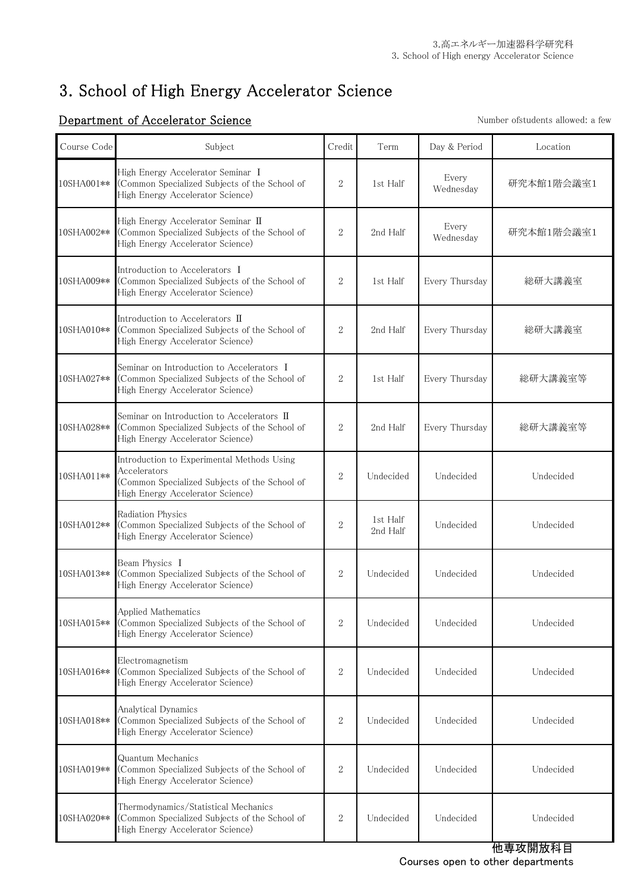# 3. School of High Energy Accelerator Science

### Course Code Subject Subject Credit Term Day & Period Location 10SHA001\*\* High Energy Accelerator Seminar Ⅰ (Common Specialized Subjects of the School of High Energy Accelerator Science) 2 1st Half Every<br>Wednesday 研究本館1階会議室1 10SHA002\*\* High Energy Accelerator Seminar Ⅱ (Common Specialized Subjects of the School of High Energy Accelerator Science) 2 2nd Half Every<br>Wednesday 研究本館1階会議室1 10SHA009\*\* Introduction to Accelerators Ⅰ (Common Specialized Subjects of the School of High Energy Accelerator Science) 2 1st Half Every Thursday | 総研大講義室 10SHA010\*\* Introduction to Accelerators  $\Pi$ (Common Specialized Subjects of the School of High Energy Accelerator Science) 2 2nd Half Every Thursday | 総研大講義室 10SHA027\*\* Seminar on Introduction to Accelerators I (Common Specialized Subjects of the School of High Energy Accelerator Science) 2 1st Half Every Thursday | 総研大講義室等 10SHA028\*\* Seminar on Introduction to Accelerators Ⅱ (Common Specialized Subjects of the School of High Energy Accelerator Science) 2 2nd Half Every Thursday 総研大講義室等 10SHA011\*\* Introduction to Experimental Methods Using Accelerators (Common Specialized Subjects of the School of High Energy Accelerator Science) 2 Undecided Undecided Undecided 10SHA012\*\* Radiation Physics (Common Specialized Subjects of the School of High Energy Accelerator Science)  $2$  1st Half<br> $2$ nd Half Undecided Undecided 10SHA013\*\* Beam Physics Ⅰ (Common Specialized Subjects of the School of High Energy Accelerator Science) 2 Undecided Undecided Undecided 10SHA015\*\* Applied Mathematics (Common Specialized Subjects of the School of High Energy Accelerator Science) 2 Undecided Undecided Undecided 10SHA016\*\* Electromagnetism (Common Specialized Subjects of the School of High Energy Accelerator Science) 2 Undecided Undecided Undecided 10SHA018\*\* Analytical Dynamics (Common Specialized Subjects of the School of High Energy Accelerator Science) 2 Undecided Undecided Undecided Undecided 10SHA019\*\* Quantum Mechanics (Common Specialized Subjects of the School of High Energy Accelerator Science) 2 Undecided Undecided Undecided 10SHA020\*\* Thermodynamics/Statistical Mechanics (Common Specialized Subjects of the School of High Energy Accelerator Science) 2 Undecided Undecided Undecided

### **Department of Accelerator Science** Number of Students allowed: a few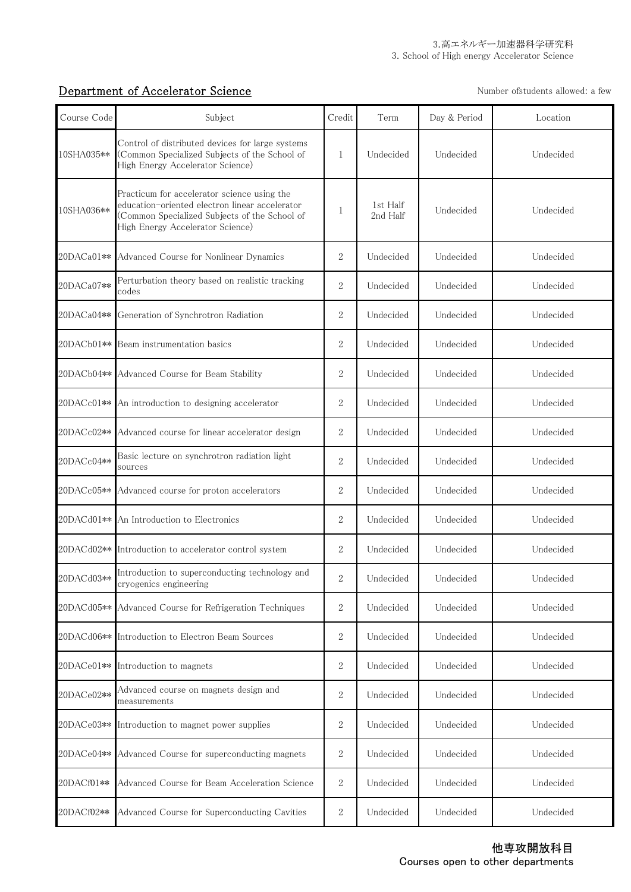## **Department of Accelerator Science** Number of Science Number of Students allowed: a few

| Course Code | Subject                                                                                                                                                                            | Credit           | Term                 | Day & Period | Location  |
|-------------|------------------------------------------------------------------------------------------------------------------------------------------------------------------------------------|------------------|----------------------|--------------|-----------|
| 10SHA035**  | Control of distributed devices for large systems<br>(Common Specialized Subjects of the School of<br>High Energy Accelerator Science)                                              | $\mathbf{1}$     | Undecided            | Undecided    | Undecided |
| 10SHA036**  | Practicum for accelerator science using the<br>education-oriented electron linear accelerator<br>(Common Specialized Subjects of the School of<br>High Energy Accelerator Science) | 1                | 1st Half<br>2nd Half | Undecided    | Undecided |
| 20DACa01**  | Advanced Course for Nonlinear Dynamics                                                                                                                                             | $\overline{2}$   | Undecided            | Undecided    | Undecided |
| 20DACa07**  | Perturbation theory based on realistic tracking<br>codes                                                                                                                           | $\overline{2}$   | Undecided            | Undecided    | Undecided |
| 20DACa04**  | Generation of Synchrotron Radiation                                                                                                                                                | $\boldsymbol{2}$ | Undecided            | Undecided    | Undecided |
| 20DACb01**  | Beam instrumentation basics                                                                                                                                                        | 2                | Undecided            | Undecided    | Undecided |
| 20DACb04**  | Advanced Course for Beam Stability                                                                                                                                                 | $\overline{2}$   | Undecided            | Undecided    | Undecided |
| 20DACc01**  | An introduction to designing accelerator                                                                                                                                           | $\overline{2}$   | Undecided            | Undecided    | Undecided |
| 20DACc02**  | Advanced course for linear accelerator design                                                                                                                                      | 2                | Undecided            | Undecided    | Undecided |
| 20DACc04**  | Basic lecture on synchrotron radiation light<br>sources                                                                                                                            | $\overline{2}$   | Undecided            | Undecided    | Undecided |
| 20DACc05**  | Advanced course for proton accelerators                                                                                                                                            | $\overline{2}$   | Undecided            | Undecided    | Undecided |
| 20DACd01**  | An Introduction to Electronics                                                                                                                                                     | 2                | Undecided            | Undecided    | Undecided |
|             | 20DACd02 ** Introduction to accelerator control system                                                                                                                             | $\overline{2}$   | Undecided            | Undecided    | Undecided |
| 20DACd03**  | Introduction to superconducting technology and<br>cryogenics engineering                                                                                                           | 2                | Undecided            | Undecided    | Undecided |
| 20DACd05**  | Advanced Course for Refrigeration Techniques                                                                                                                                       | 2                | Undecided            | Undecided    | Undecided |
| 20DACd06**  | Introduction to Electron Beam Sources                                                                                                                                              | $\boldsymbol{2}$ | Undecided            | Undecided    | Undecided |
| 20DACe01**  | Introduction to magnets                                                                                                                                                            | $\boldsymbol{2}$ | Undecided            | Undecided    | Undecided |
| 20DACe02**  | Advanced course on magnets design and<br>measurements                                                                                                                              | 2                | Undecided            | Undecided    | Undecided |
| 20DACe03**  | Introduction to magnet power supplies                                                                                                                                              | $\,2$            | Undecided            | Undecided    | Undecided |
| 20DACe04**  | Advanced Course for superconducting magnets                                                                                                                                        | 2                | Undecided            | Undecided    | Undecided |
| 20DACf01**  | Advanced Course for Beam Acceleration Science                                                                                                                                      | $\sqrt{2}$       | Undecided            | Undecided    | Undecided |
| 20DACf02**  | Advanced Course for Superconducting Cavities                                                                                                                                       | 2                | Undecided            | Undecided    | Undecided |